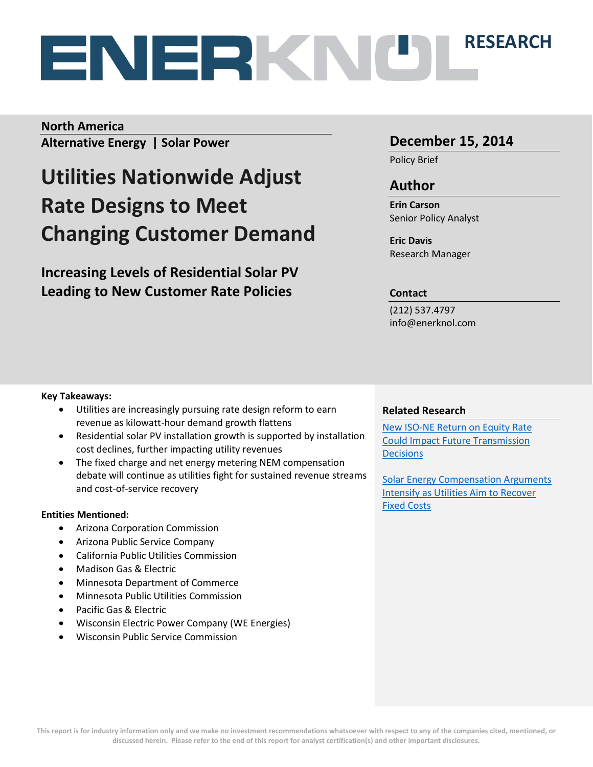# **RESEARCH**

### **North America**

**Alternative Energy | Solar Power**

# **Utilities Nationwide Adjust Rate Designs to Meet Changing Customer Demand**

**Increasing Levels of Residential Solar PV Leading to New Customer Rate Policies** 

### **December 15, 2014**

Policy Brief

### **Author**

**Erin Carson** Senior Policy Analyst

**Eric Davis** Research Manager

#### **Contact**

(212) 537.4797 info@enerknol.com

#### **Key Takeaways:**

- Utilities are increasingly pursuing rate design reform to earn revenue as kilowatt-hour demand growth flattens
- Residential solar PV installation growth is supported by installation cost declines, further impacting utility revenues
- The fixed charge and net energy metering NEM compensation debate will continue as utilities fight for sustained revenue streams and cost-of-service recovery

#### **Entities Mentioned:**

- Arizona Corporation Commission
- Arizona Public Service Company
- California Public Utilities Commission
- Madison Gas & Electric
- Minnesota Department of Commerce
- Minnesota Public Utilities Commission
- Pacific Gas & Electric
- Wisconsin Electric Power Company (WE Energies)
- Wisconsin Public Service Commission

#### **Related Research**

[New ISO-NE Return on Equity Rate](http://enerknol.com/report-new-iso-ne-return-equity-rate-impact-future-transmission-decisions/)  [Could Impact Future Transmission](http://enerknol.com/report-new-iso-ne-return-equity-rate-impact-future-transmission-decisions/)  **[Decisions](http://enerknol.com/report-new-iso-ne-return-equity-rate-impact-future-transmission-decisions/)** 

[Solar Energy Compensation Arguments](http://enerknol.com/wp-content/uploads/2014/10/EnerKnol-Research-Solar-NEM-v-VOST-10.20.14.pdf)  [Intensify as Utilities Aim to Recover](http://enerknol.com/wp-content/uploads/2014/10/EnerKnol-Research-Solar-NEM-v-VOST-10.20.14.pdf)  [Fixed Costs](http://enerknol.com/wp-content/uploads/2014/10/EnerKnol-Research-Solar-NEM-v-VOST-10.20.14.pdf)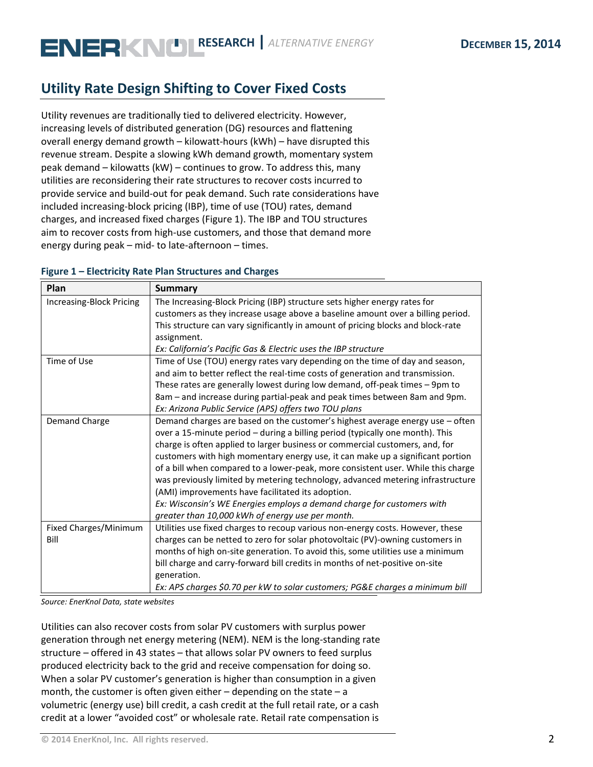# **Utility Rate Design Shifting to Cover Fixed Costs**

Utility revenues are traditionally tied to delivered electricity. However, increasing levels of distributed generation (DG) resources and flattening overall energy demand growth – kilowatt-hours (kWh) – have disrupted this revenue stream. Despite a slowing kWh demand growth, momentary system peak demand – kilowatts (kW) – continues to grow. To address this, many utilities are reconsidering their rate structures to recover costs incurred to provide service and build-out for peak demand. Such rate considerations have included increasing-block pricing (IBP), time of use (TOU) rates, demand charges, and increased fixed charges (Figure 1). The IBP and TOU structures aim to recover costs from high-use customers, and those that demand more energy during peak – mid- to late-afternoon – times.

| Plan                     | <b>Summary</b>                                                                   |
|--------------------------|----------------------------------------------------------------------------------|
| Increasing-Block Pricing | The Increasing-Block Pricing (IBP) structure sets higher energy rates for        |
|                          | customers as they increase usage above a baseline amount over a billing period.  |
|                          | This structure can vary significantly in amount of pricing blocks and block-rate |
|                          | assignment.                                                                      |
|                          | Ex: California's Pacific Gas & Electric uses the IBP structure                   |
| Time of Use              | Time of Use (TOU) energy rates vary depending on the time of day and season,     |
|                          | and aim to better reflect the real-time costs of generation and transmission.    |
|                          | These rates are generally lowest during low demand, off-peak times - 9pm to      |
|                          | 8am - and increase during partial-peak and peak times between 8am and 9pm.       |
|                          | Ex: Arizona Public Service (APS) offers two TOU plans                            |
| Demand Charge            | Demand charges are based on the customer's highest average energy use - often    |
|                          | over a 15-minute period - during a billing period (typically one month). This    |
|                          | charge is often applied to larger business or commercial customers, and, for     |
|                          | customers with high momentary energy use, it can make up a significant portion   |
|                          | of a bill when compared to a lower-peak, more consistent user. While this charge |
|                          | was previously limited by metering technology, advanced metering infrastructure  |
|                          | (AMI) improvements have facilitated its adoption.                                |
|                          | Ex: Wisconsin's WE Energies employs a demand charge for customers with           |
|                          | greater than 10,000 kWh of energy use per month.                                 |
| Fixed Charges/Minimum    | Utilities use fixed charges to recoup various non-energy costs. However, these   |
| Bill                     | charges can be netted to zero for solar photovoltaic (PV)-owning customers in    |
|                          | months of high on-site generation. To avoid this, some utilities use a minimum   |
|                          | bill charge and carry-forward bill credits in months of net-positive on-site     |
|                          | generation.                                                                      |
|                          | Ex: APS charges \$0.70 per kW to solar customers; PG&E charges a minimum bill    |

#### **Figure 1 – Electricity Rate Plan Structures and Charges**

*Source: EnerKnol Data, state websites*

Utilities can also recover costs from solar PV customers with surplus power generation through net energy metering (NEM). NEM is the long-standing rate structure – offered in 43 states – that allows solar PV owners to feed surplus produced electricity back to the grid and receive compensation for doing so. When a solar PV customer's generation is higher than consumption in a given month, the customer is often given either  $-$  depending on the state  $-$  a volumetric (energy use) bill credit, a cash credit at the full retail rate, or a cash credit at a lower "avoided cost" or wholesale rate. Retail rate compensation is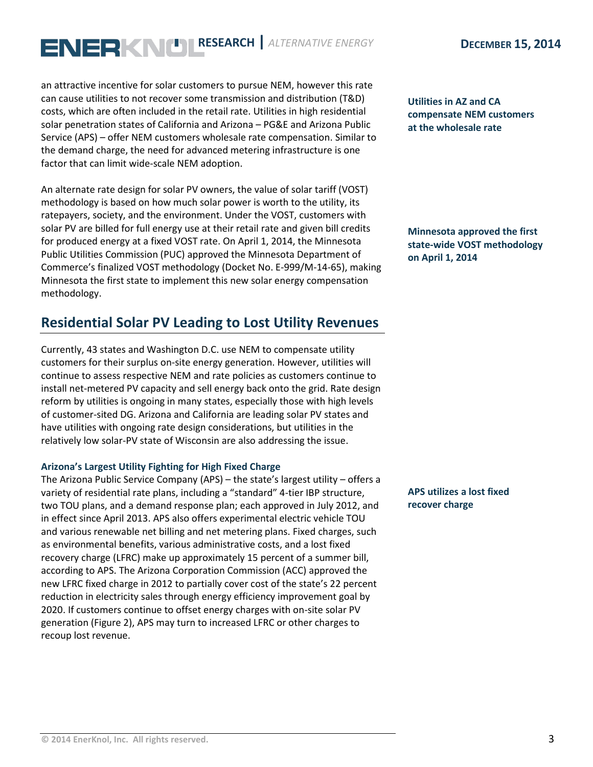an attractive incentive for solar customers to pursue NEM, however this rate can cause utilities to not recover some transmission and distribution (T&D) costs, which are often included in the retail rate. Utilities in high residential solar penetration states of California and Arizona – PG&E and Arizona Public Service (APS) – offer NEM customers wholesale rate compensation. Similar to the demand charge, the need for advanced metering infrastructure is one factor that can limit wide-scale NEM adoption.

An alternate rate design for solar PV owners, the value of solar tariff (VOST) methodology is based on how much solar power is worth to the utility, its ratepayers, society, and the environment. Under the VOST, customers with solar PV are billed for full energy use at their retail rate and given bill credits for produced energy at a fixed VOST rate. On April 1, 2014, the Minnesota Public Utilities Commission (PUC) approved the Minnesota Department of Commerce's finalized VOST methodology (Docket No. E-999/M-14-65), making Minnesota the first state to implement this new solar energy compensation methodology.

### **Residential Solar PV Leading to Lost Utility Revenues**

Currently, 43 states and Washington D.C. use NEM to compensate utility customers for their surplus on-site energy generation. However, utilities will continue to assess respective NEM and rate policies as customers continue to install net-metered PV capacity and sell energy back onto the grid. Rate design reform by utilities is ongoing in many states, especially those with high levels of customer-sited DG. Arizona and California are leading solar PV states and have utilities with ongoing rate design considerations, but utilities in the relatively low solar-PV state of Wisconsin are also addressing the issue.

#### **Arizona's Largest Utility Fighting for High Fixed Charge**

The Arizona Public Service Company (APS) – the state's largest utility – offers a variety of residential rate plans, including a "standard" 4-tier IBP structure, two TOU plans, and a demand response plan; each approved in July 2012, and in effect since April 2013. APS also offers experimental electric vehicle TOU and various renewable net billing and net metering plans. Fixed charges, such as environmental benefits, various administrative costs, and a lost fixed recovery charge (LFRC) make up approximately 15 percent of a summer bill, according to APS. The Arizona Corporation Commission (ACC) approved the new LFRC fixed charge in 2012 to partially cover cost of the state's 22 percent reduction in electricity sales through energy efficiency improvement goal by 2020. If customers continue to offset energy charges with on-site solar PV generation (Figure 2), APS may turn to increased LFRC or other charges to recoup lost revenue.

**Utilities in AZ and CA compensate NEM customers at the wholesale rate**

**Minnesota approved the first state-wide VOST methodology on April 1, 2014**

**APS utilizes a lost fixed recover charge**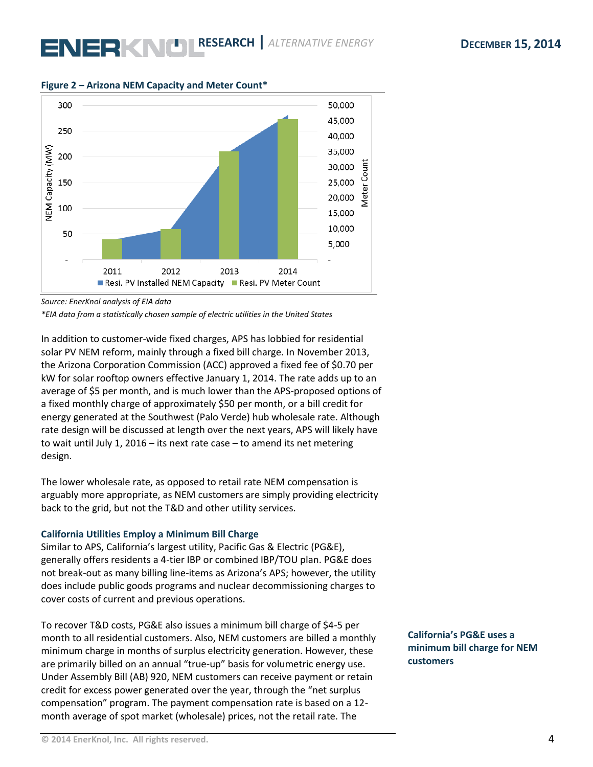

#### **Figure 2 – Arizona NEM Capacity and Meter Count\***

*Source: EnerKnol analysis of EIA data* 

*\*EIA data from a statistically chosen sample of electric utilities in the United States*

In addition to customer-wide fixed charges, APS has lobbied for residential solar PV NEM reform, mainly through a fixed bill charge. In November 2013, the Arizona Corporation Commission (ACC) approved a fixed fee of \$0.70 per kW for solar rooftop owners effective January 1, 2014. The rate adds up to an average of \$5 per month, and is much lower than the APS-proposed options of a fixed monthly charge of approximately \$50 per month, or a bill credit for energy generated at the Southwest (Palo Verde) hub wholesale rate. Although rate design will be discussed at length over the next years, APS will likely have to wait until July 1, 2016 – its next rate case – to amend its net metering design.

The lower wholesale rate, as opposed to retail rate NEM compensation is arguably more appropriate, as NEM customers are simply providing electricity back to the grid, but not the T&D and other utility services.

#### **California Utilities Employ a Minimum Bill Charge**

Similar to APS, California's largest utility, Pacific Gas & Electric (PG&E), generally offers residents a 4-tier IBP or combined IBP/TOU plan. PG&E does not break-out as many billing line-items as Arizona's APS; however, the utility does include public goods programs and nuclear decommissioning charges to cover costs of current and previous operations.

To recover T&D costs, PG&E also issues a minimum bill charge of \$4-5 per month to all residential customers. Also, NEM customers are billed a monthly minimum charge in months of surplus electricity generation. However, these are primarily billed on an annual "true-up" basis for volumetric energy use. Under Assembly Bill (AB) 920, NEM customers can receive payment or retain credit for excess power generated over the year, through the "net surplus compensation" program. The payment compensation rate is based on a 12 month average of spot market (wholesale) prices, not the retail rate. The

**California's PG&E uses a minimum bill charge for NEM customers**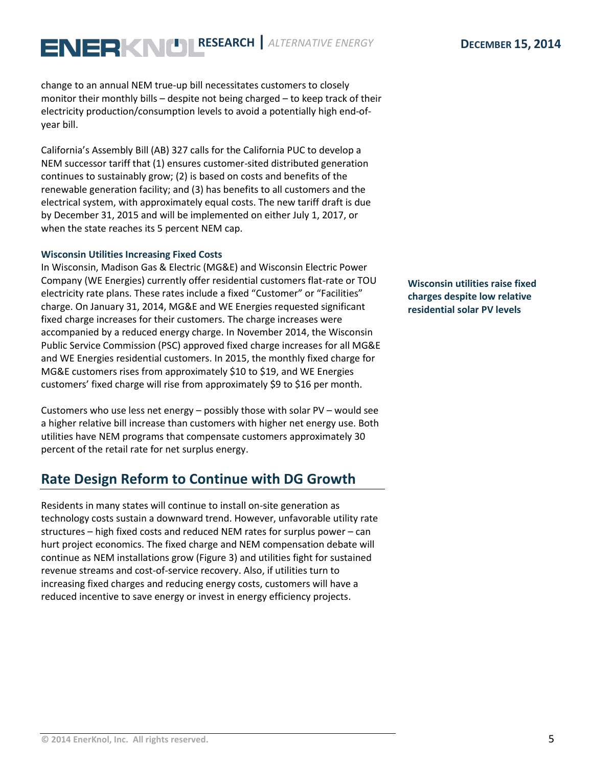change to an annual NEM true-up bill necessitates customers to closely monitor their monthly bills – despite not being charged – to keep track of their electricity production/consumption levels to avoid a potentially high end-ofyear bill.

California's Assembly Bill (AB) 327 calls for the California PUC to develop a NEM successor tariff that (1) ensures customer-sited distributed generation continues to sustainably grow; (2) is based on costs and benefits of the renewable generation facility; and (3) has benefits to all customers and the electrical system, with approximately equal costs. The new tariff draft is due by December 31, 2015 and will be implemented on either July 1, 2017, or when the state reaches its 5 percent NEM cap.

#### **Wisconsin Utilities Increasing Fixed Costs**

In Wisconsin, Madison Gas & Electric (MG&E) and Wisconsin Electric Power Company (WE Energies) currently offer residential customers flat-rate or TOU electricity rate plans. These rates include a fixed "Customer" or "Facilities" charge. On January 31, 2014, MG&E and WE Energies requested significant fixed charge increases for their customers. The charge increases were accompanied by a reduced energy charge. In November 2014, the Wisconsin Public Service Commission (PSC) approved fixed charge increases for all MG&E and WE Energies residential customers. In 2015, the monthly fixed charge for MG&E customers rises from approximately \$10 to \$19, and WE Energies customers' fixed charge will rise from approximately \$9 to \$16 per month.

Customers who use less net energy – possibly those with solar PV – would see a higher relative bill increase than customers with higher net energy use. Both utilities have NEM programs that compensate customers approximately 30 percent of the retail rate for net surplus energy.

### **Rate Design Reform to Continue with DG Growth**

Residents in many states will continue to install on-site generation as technology costs sustain a downward trend. However, unfavorable utility rate structures – high fixed costs and reduced NEM rates for surplus power – can hurt project economics. The fixed charge and NEM compensation debate will continue as NEM installations grow (Figure 3) and utilities fight for sustained revenue streams and cost-of-service recovery. Also, if utilities turn to increasing fixed charges and reducing energy costs, customers will have a reduced incentive to save energy or invest in energy efficiency projects.

**Wisconsin utilities raise fixed charges despite low relative residential solar PV levels**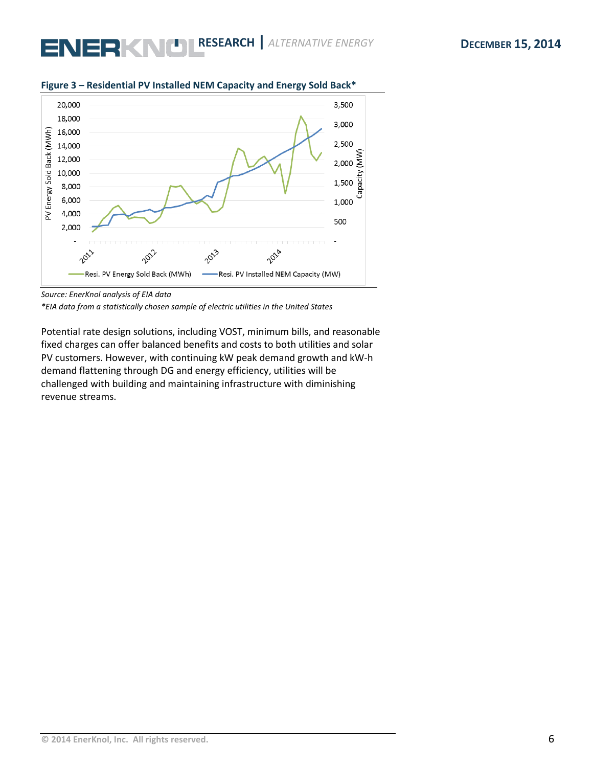

#### **Figure 3 – Residential PV Installed NEM Capacity and Energy Sold Back\***

*\*EIA data from a statistically chosen sample of electric utilities in the United States*

Potential rate design solutions, including VOST, minimum bills, and reasonable fixed charges can offer balanced benefits and costs to both utilities and solar PV customers. However, with continuing kW peak demand growth and kW-h demand flattening through DG and energy efficiency, utilities will be challenged with building and maintaining infrastructure with diminishing revenue streams.

*Source: EnerKnol analysis of EIA data*